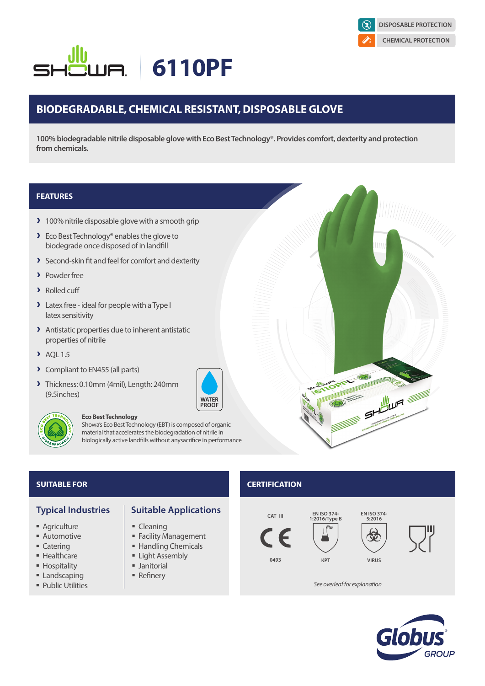

# **6110PF**

# **BIODEGRADABLE, CHEMICAL RESISTANT, DISPOSABLE GLOVE**

**100% biodegradable nitrile disposable glove with Eco Best Technology®. Provides comfort, dexterity and protection from chemicals.**

### **FEATURES**

- > 100% nitrile disposable glove with a smooth grip
- ▶ Eco Best Technology® enables the glove to biodegrade once disposed of in landfill
- **>** Second-skin fit and feel for comfort and dexterity
- > Powder free
- > Rolled cuff
- > Latex free ideal for people with a Type I latex sensitivity
- > Antistatic properties due to inherent antistatic properties of nitrile
- $\blacktriangleright$  AOL 1.5
- > Compliant to EN455 (all parts)
- A Thickness: 0.10mm (4mil), Length: 240mm (9.5inches)



### **Eco Best Technology**

Showa's Eco Best Technology (EBT) is composed of organic material that accelerates the biodegradation of nitrile in biologically active landfills without anysacrifice in performance

- **Agriculture**
- **Automotive**
- Catering
- **Healthcare**
- **Hospitality**
- **Landscaping**
- **Public Utilities**



- Cleaning
- **Facility Management**
- Handling Chemicals
- **Example Light Assembly**
- **Janitorial**
- 

## **SUITABLE FOR CERTIFICATION**







SHOWN ST

*See overleaf for explanation*





- 
- 
- 
- 
- **Refinery**

# **WATER**<br>PROOF